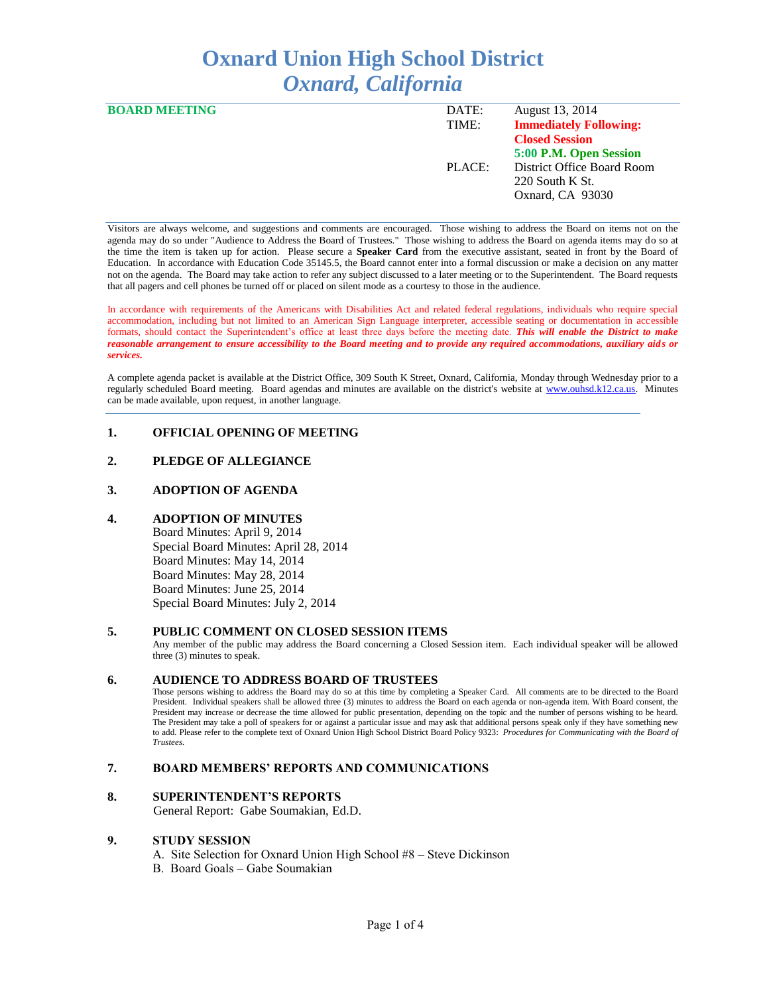# **Oxnard Union High School District** *Oxnard, California*

| <b>BOARD MEETING</b> | DATE:  | August 13, 2014               |
|----------------------|--------|-------------------------------|
|                      | TIME:  | <b>Immediately Following:</b> |
|                      |        | <b>Closed Session</b>         |
|                      |        | 5:00 P.M. Open Session        |
|                      | PLACE: | District Office Board Room    |
|                      |        | $220$ South K St.             |
|                      |        | Oxnard, CA 93030              |
|                      |        |                               |

Visitors are always welcome, and suggestions and comments are encouraged. Those wishing to address the Board on items not on the agenda may do so under "Audience to Address the Board of Trustees." Those wishing to address the Board on agenda items may do so at the time the item is taken up for action. Please secure a **Speaker Card** from the executive assistant, seated in front by the Board of Education. In accordance with Education Code 35145.5, the Board cannot enter into a formal discussion or make a decision on any matter not on the agenda. The Board may take action to refer any subject discussed to a later meeting or to the Superintendent. The Board requests that all pagers and cell phones be turned off or placed on silent mode as a courtesy to those in the audience.

In accordance with requirements of the Americans with Disabilities Act and related federal regulations, individuals who require special accommodation, including but not limited to an American Sign Language interpreter, accessible seating or documentation in accessible formats, should contact the Superintendent's office at least three days before the meeting date. *This will enable the District to make reasonable arrangement to ensure accessibility to the Board meeting and to provide any required accommodations, auxiliary aids or services.* 

A complete agenda packet is available at the District Office, 309 South K Street, Oxnard, California, Monday through Wednesday prior to a regularly scheduled Board meeting. Board agendas and minutes are available on the district's website at [www.ouhsd.k12.ca.us.](http://www.ouhsd.k12.ca.us/)Minutes can be made available, upon request, in another language.

# **1. OFFICIAL OPENING OF MEETING**

## **2. PLEDGE OF ALLEGIANCE**

## **3. ADOPTION OF AGENDA**

## **4. ADOPTION OF MINUTES**

Board Minutes: April 9, 2014 Special Board Minutes: April 28, 2014 Board Minutes: May 14, 2014 Board Minutes: May 28, 2014 Board Minutes: June 25, 2014 Special Board Minutes: July 2, 2014

#### **5. PUBLIC COMMENT ON CLOSED SESSION ITEMS**

Any member of the public may address the Board concerning a Closed Session item. Each individual speaker will be allowed three (3) minutes to speak.

## **6. AUDIENCE TO ADDRESS BOARD OF TRUSTEES**

Those persons wishing to address the Board may do so at this time by completing a Speaker Card. All comments are to be directed to the Board President. Individual speakers shall be allowed three (3) minutes to address the Board on each agenda or non-agenda item. With Board consent, the President may increase or decrease the time allowed for public presentation, depending on the topic and the number of persons wishing to be heard. The President may take a poll of speakers for or against a particular issue and may ask that additional persons speak only if they have something new to add. Please refer to the complete text of Oxnard Union High School District Board Policy 9323: *Procedures for Communicating with the Board of Trustees.*

#### **7. BOARD MEMBERS' REPORTS AND COMMUNICATIONS**

## **8. SUPERINTENDENT'S REPORTS**

General Report: Gabe Soumakian, Ed.D.

#### **9. STUDY SESSION**

- A. Site Selection for Oxnard Union High School #8 Steve Dickinson
- B. Board Goals Gabe Soumakian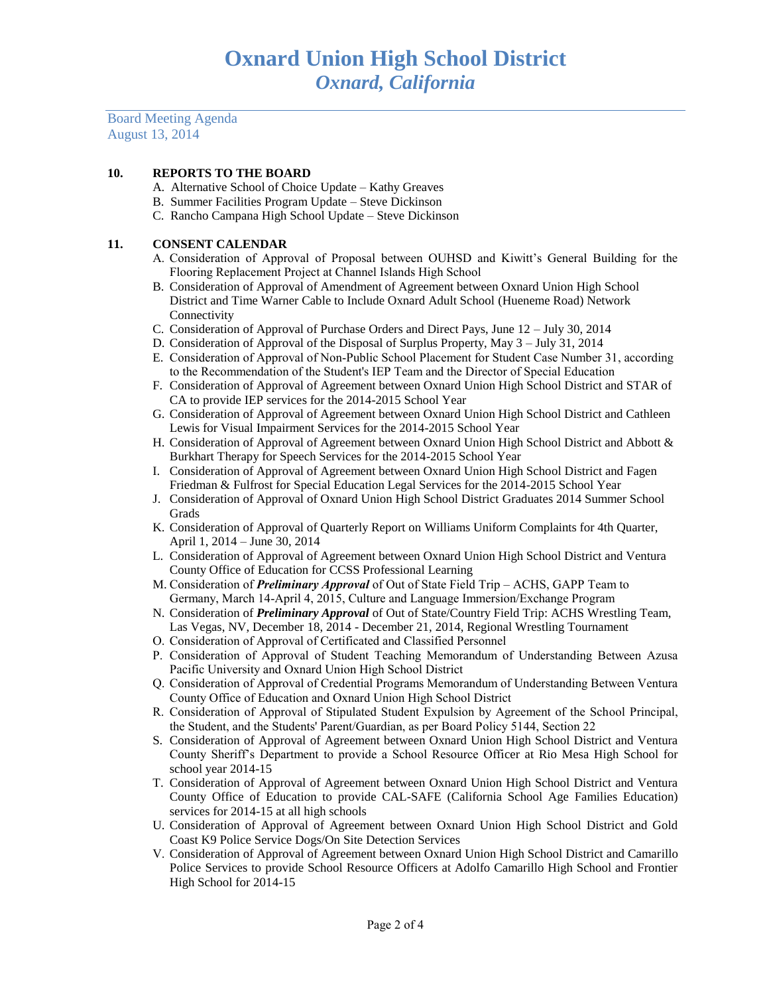Board Meeting Agenda August 13, 2014

## **10. REPORTS TO THE BOARD**

- A. Alternative School of Choice Update Kathy Greaves
- B. Summer Facilities Program Update Steve Dickinson
- C. Rancho Campana High School Update Steve Dickinson

## **11. CONSENT CALENDAR**

- A. Consideration of Approval of Proposal between OUHSD and Kiwitt's General Building for the Flooring Replacement Project at Channel Islands High School
- B. Consideration of Approval of Amendment of Agreement between Oxnard Union High School District and Time Warner Cable to Include Oxnard Adult School (Hueneme Road) Network Connectivity
- C. Consideration of Approval of Purchase Orders and Direct Pays, June 12 July 30, 2014
- D. Consideration of Approval of the Disposal of Surplus Property, May 3 July 31, 2014
- E. Consideration of Approval of Non-Public School Placement for Student Case Number 31, according to the Recommendation of the Student's IEP Team and the Director of Special Education
- F. Consideration of Approval of Agreement between Oxnard Union High School District and STAR of CA to provide IEP services for the 2014-2015 School Year
- G. Consideration of Approval of Agreement between Oxnard Union High School District and Cathleen Lewis for Visual Impairment Services for the 2014-2015 School Year
- H. Consideration of Approval of Agreement between Oxnard Union High School District and Abbott & Burkhart Therapy for Speech Services for the 2014-2015 School Year
- I. Consideration of Approval of Agreement between Oxnard Union High School District and Fagen Friedman & Fulfrost for Special Education Legal Services for the 2014-2015 School Year
- J. Consideration of Approval of Oxnard Union High School District Graduates 2014 Summer School Grads
- K. Consideration of Approval of Quarterly Report on Williams Uniform Complaints for 4th Quarter, April 1, 2014 – June 30, 2014
- L. Consideration of Approval of Agreement between Oxnard Union High School District and Ventura County Office of Education for CCSS Professional Learning
- M. Consideration of *Preliminary Approval* of Out of State Field Trip ACHS, GAPP Team to Germany, March 14-April 4, 2015, Culture and Language Immersion/Exchange Program
- N. Consideration of *Preliminary Approval* of Out of State/Country Field Trip: ACHS Wrestling Team, Las Vegas, NV, December 18, 2014 - December 21, 2014, Regional Wrestling Tournament
- O. Consideration of Approval of Certificated and Classified Personnel
- P. Consideration of Approval of Student Teaching Memorandum of Understanding Between Azusa Pacific University and Oxnard Union High School District
- Q. Consideration of Approval of Credential Programs Memorandum of Understanding Between Ventura County Office of Education and Oxnard Union High School District
- R. Consideration of Approval of Stipulated Student Expulsion by Agreement of the School Principal, the Student, and the Students' Parent/Guardian, as per Board Policy 5144, Section 22
- S. Consideration of Approval of Agreement between Oxnard Union High School District and Ventura County Sheriff's Department to provide a School Resource Officer at Rio Mesa High School for school year 2014-15
- T. Consideration of Approval of Agreement between Oxnard Union High School District and Ventura County Office of Education to provide CAL-SAFE (California School Age Families Education) services for 2014-15 at all high schools
- U. Consideration of Approval of Agreement between Oxnard Union High School District and Gold Coast K9 Police Service Dogs/On Site Detection Services
- V. Consideration of Approval of Agreement between Oxnard Union High School District and Camarillo Police Services to provide School Resource Officers at Adolfo Camarillo High School and Frontier High School for 2014-15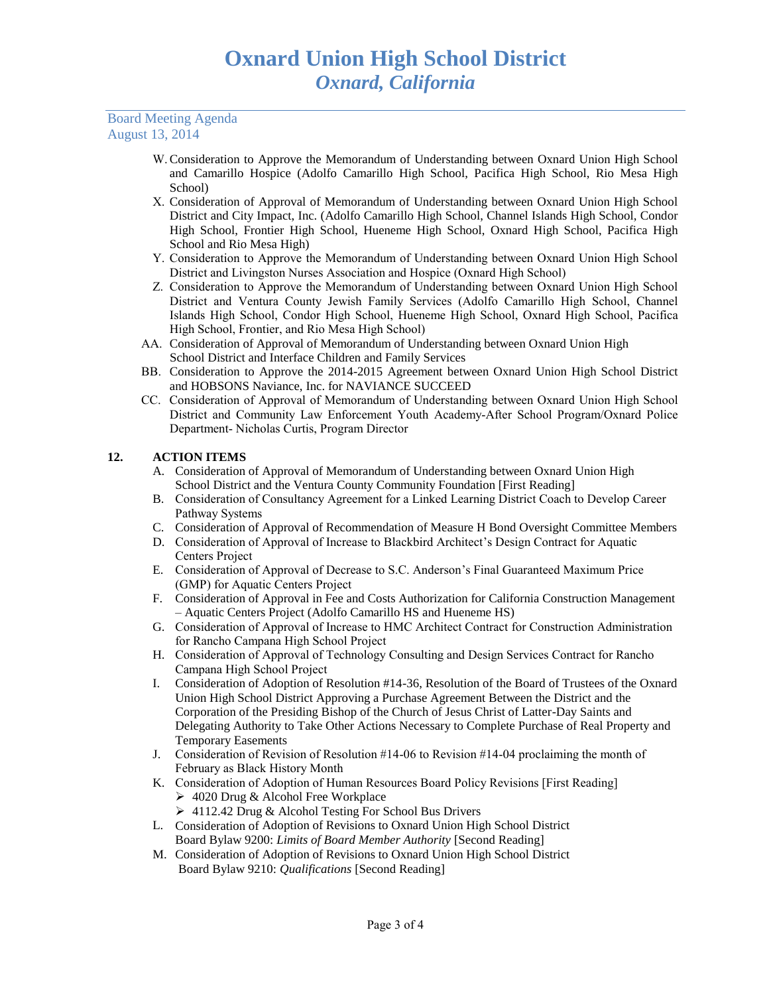Board Meeting Agenda August 13, 2014

- W.Consideration to Approve the Memorandum of Understanding between Oxnard Union High School and Camarillo Hospice (Adolfo Camarillo High School, Pacifica High School, Rio Mesa High School)
- X. Consideration of Approval of Memorandum of Understanding between Oxnard Union High School District and City Impact, Inc. (Adolfo Camarillo High School, Channel Islands High School, Condor High School, Frontier High School, Hueneme High School, Oxnard High School, Pacifica High School and Rio Mesa High)
- Y. Consideration to Approve the Memorandum of Understanding between Oxnard Union High School District and Livingston Nurses Association and Hospice (Oxnard High School)
- Z. Consideration to Approve the Memorandum of Understanding between Oxnard Union High School District and Ventura County Jewish Family Services (Adolfo Camarillo High School, Channel Islands High School, Condor High School, Hueneme High School, Oxnard High School, Pacifica High School, Frontier, and Rio Mesa High School)
- AA. Consideration of Approval of Memorandum of Understanding between Oxnard Union High School District and Interface Children and Family Services
- BB. Consideration to Approve the 2014-2015 Agreement between Oxnard Union High School District and HOBSONS Naviance, Inc. for NAVIANCE SUCCEED
- CC. Consideration of Approval of Memorandum of Understanding between Oxnard Union High School District and Community Law Enforcement Youth Academy-After School Program/Oxnard Police Department- Nicholas Curtis, Program Director

# **12. ACTION ITEMS**

- A. Consideration of Approval of Memorandum of Understanding between Oxnard Union High School District and the Ventura County Community Foundation [First Reading]
- B. Consideration of Consultancy Agreement for a Linked Learning District Coach to Develop Career Pathway Systems
- C. Consideration of Approval of Recommendation of Measure H Bond Oversight Committee Members
- D. Consideration of Approval of Increase to Blackbird Architect's Design Contract for Aquatic Centers Project
- E. Consideration of Approval of Decrease to S.C. Anderson's Final Guaranteed Maximum Price (GMP) for Aquatic Centers Project
- F. Consideration of Approval in Fee and Costs Authorization for California Construction Management – Aquatic Centers Project (Adolfo Camarillo HS and Hueneme HS)
- G. Consideration of Approval of Increase to HMC Architect Contract for Construction Administration for Rancho Campana High School Project
- H. Consideration of Approval of Technology Consulting and Design Services Contract for Rancho Campana High School Project
- I. Consideration of Adoption of Resolution #14-36, Resolution of the Board of Trustees of the Oxnard Union High School District Approving a Purchase Agreement Between the District and the Corporation of the Presiding Bishop of the Church of Jesus Christ of Latter-Day Saints and Delegating Authority to Take Other Actions Necessary to Complete Purchase of Real Property and Temporary Easements
- J. Consideration of Revision of Resolution #14-06 to Revision #14-04 proclaiming the month of February as Black History Month
- K. Consideration of Adoption of Human Resources Board Policy Revisions [First Reading] 4020 Drug & Alcohol Free Workplace
	- 4112.42 Drug & Alcohol Testing For School Bus Drivers
- L. Consideration of Adoption of Revisions to Oxnard Union High School District Board Bylaw 9200: *Limits of Board Member Authority* [Second Reading]
- M. Consideration of Adoption of Revisions to Oxnard Union High School District Board Bylaw 9210: *Qualifications* [Second Reading]